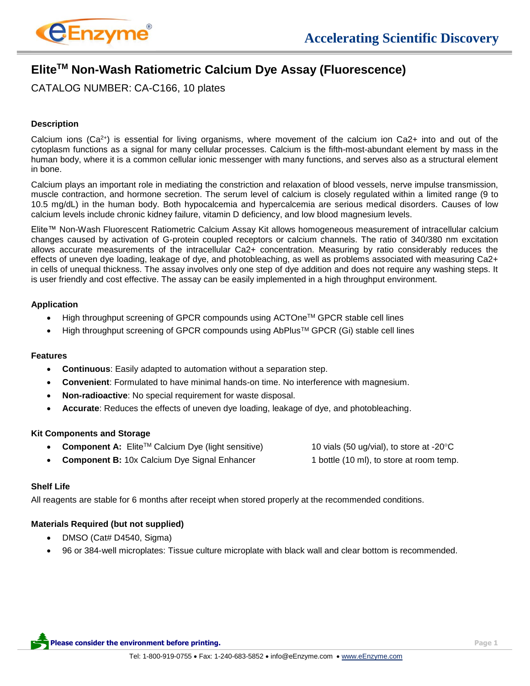

# **EliteTM Non-Wash Ratiometric Calcium Dye Assay (Fluorescence)**

CATALOG NUMBER: CA-C166, 10 plates

## **Description**

Calcium ions ( $Ca^{2+}$ ) is essential for living organisms, where movement of the calcium ion  $Ca^{2+}$  into and out of the cytoplasm functions as a signal for many cellular processes. Calcium is the fifth-most-abundant element by mass in the human body, where it is a common cellular ionic messenger with many functions, and serves also as a structural element in bone.

Calcium plays an important role in mediating the constriction and relaxation of blood vessels, nerve impulse transmission, muscle contraction, and hormone secretion. The serum level of calcium is closely regulated within a limited range (9 to 10.5 mg/dL) in the human body. Both hypocalcemia and hypercalcemia are serious medical disorders. Causes of low calcium levels include chronic kidney failure, vitamin D deficiency, and low blood magnesium levels.

Elite™ Non-Wash Fluorescent Ratiometric Calcium Assay Kit allows homogeneous measurement of intracellular calcium changes caused by activation of G-protein coupled receptors or calcium channels. The ratio of 340/380 nm excitation allows accurate measurements of the intracellular Ca2+ concentration. Measuring by ratio considerably reduces the effects of uneven dye loading, leakage of dye, and photobleaching, as well as problems associated with measuring Ca2+ in cells of unequal thickness. The assay involves only one step of dye addition and does not require any washing steps. It is user friendly and cost effective. The assay can be easily implemented in a high throughput environment.

## **Application**

- High throughput screening of GPCR compounds using ACTOneTM GPCR stable cell lines
- High throughput screening of GPCR compounds using AbPlusTM GPCR (Gi) stable cell lines

## **Features**

- **Continuous**: Easily adapted to automation without a separation step.
- **Convenient**: Formulated to have minimal hands-on time. No interference with magnesium.
- **Non-radioactive**: No special requirement for waste disposal.
- **Accurate**: Reduces the effects of uneven dye loading, leakage of dye, and photobleaching.

## **Kit Components and Storage**

|  | • Component A: Elite <sup>TM</sup> Calcium Dye (light sensitive) | 10 vials (50 ug/vial), to store at -20 $\mathrm{^{\circ}C}$ |
|--|------------------------------------------------------------------|-------------------------------------------------------------|
|  |                                                                  | $\blacksquare$                                              |

**Component B:** 10x Calcium Dye Signal Enhancer 1 bottle (10 ml), to store at room temp.

## **Shelf Life**

All reagents are stable for 6 months after receipt when stored properly at the recommended conditions.

## **Materials Required (but not supplied)**

- DMSO (Cat# D4540, Sigma)
- 96 or 384-well microplates: Tissue culture microplate with black wall and clear bottom is recommended.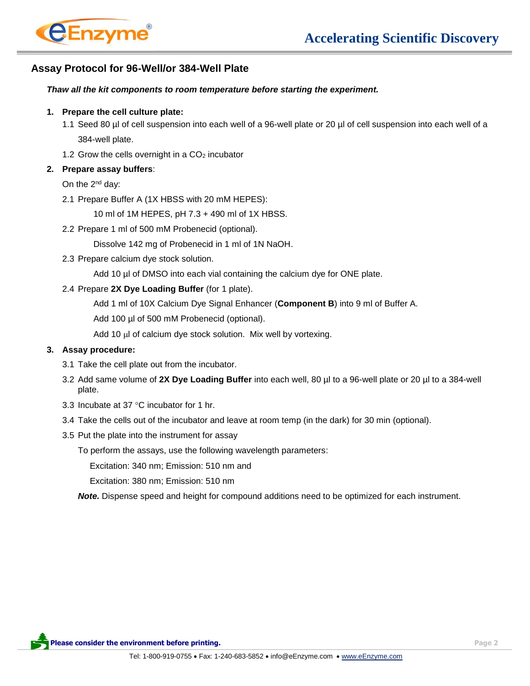

## **Assay Protocol for 96-Well/or 384-Well Plate**

#### *Thaw all the kit components to room temperature before starting the experiment.*

#### **1. Prepare the cell culture plate:**

- 1.1 Seed 80 µl of cell suspension into each well of a 96-well plate or 20 µl of cell suspension into each well of a 384-well plate.
- 1.2 Grow the cells overnight in a  $CO<sub>2</sub>$  incubator

#### **2. Prepare assay buffers**:

On the 2nd day:

2.1 Prepare Buffer A (1X HBSS with 20 mM HEPES):

10 ml of 1M HEPES, pH 7.3 + 490 ml of 1X HBSS.

2.2 Prepare 1 ml of 500 mM Probenecid (optional).

Dissolve 142 mg of Probenecid in 1 ml of 1N NaOH.

2.3 Prepare calcium dye stock solution.

Add 10 µl of DMSO into each vial containing the calcium dye for ONE plate.

2.4 Prepare **2X Dye Loading Buffer** (for 1 plate).

Add 1 ml of 10X Calcium Dye Signal Enhancer (**Component B**) into 9 ml of Buffer A.

Add 100 µl of 500 mM Probenecid (optional).

Add 10 µl of calcium dye stock solution. Mix well by vortexing.

#### **3. Assay procedure:**

- 3.1 Take the cell plate out from the incubator.
- 3.2 Add same volume of **2X Dye Loading Buffer** into each well, 80 µl to a 96-well plate or 20 µl to a 384-well plate.
- 3.3 Incubate at 37 $\degree$ C incubator for 1 hr.
- 3.4 Take the cells out of the incubator and leave at room temp (in the dark) for 30 min (optional).
- 3.5 Put the plate into the instrument for assay

To perform the assays, use the following wavelength parameters:

Excitation: 340 nm; Emission: 510 nm and

Excitation: 380 nm; Emission: 510 nm

*Note.* Dispense speed and height for compound additions need to be optimized for each instrument.

**Please consider the environment before printing. Page 2**